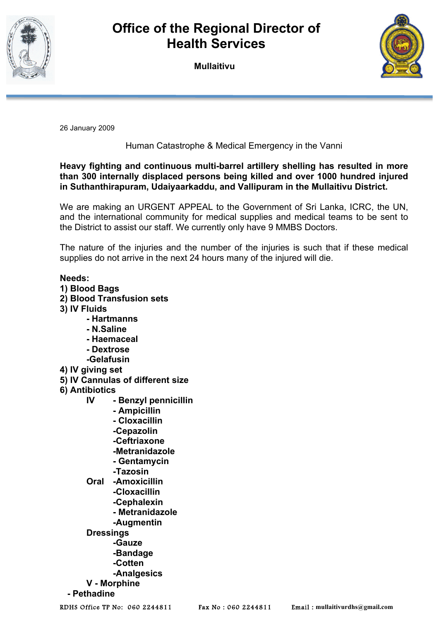

## **Office of the Regional Director of Health Services**

**Mullaitivu**



26 January 2009

Human Catastrophe & Medical Emergency in the Vanni

## **Heavy fighting and continuous multi-barrel artillery shelling has resulted in more than 300 internally displaced persons being killed and over 1000 hundred injured in Suthanthirapuram, Udaiyaarkaddu, and Vallipuram in the Mullaitivu District.**

We are making an URGENT APPEAL to the Government of Sri Lanka, ICRC, the UN, and the international community for medical supplies and medical teams to be sent to the District to assist our staff. We currently only have 9 MMBS Doctors.

The nature of the injuries and the number of the injuries is such that if these medical supplies do not arrive in the next 24 hours many of the injured will die.

## **Needs:**

- **1) Blood Bags**
- **2) Blood Transfusion sets**
- **3) IV Fluids**
	- **Hartmanns**
	- **N.Saline**
	- **Haemaceal**
	- **Dextrose**
	- **-Gelafusin**
- **4) IV giving set**
- **5) IV Cannulas of different size**
- **6) Antibiotics**
	- **IV Benzyl pennicillin**
		- **Ampicillin**
			- **Cloxacillin**
			- **-Cepazolin**
			- **-Ceftriaxone**
			- **-Metranidazole**
			- **Gentamycin**
			- **-Tazosin**
	- **Oral -Amoxicillin -Cloxacillin -Cephalexin**
		- **Metranidazole**
		- **-Augmentin**
	- **Dressings**
		- **-Gauze**
		- **-Bandage**
		- **-Cotten**
	- **-Analgesics**
	- **V Morphine**
- **Pethadine**

RDHS Office TP No: 060 2244811 Fax No : 060 2244811 Email : **mullaitivurdhs@gmail.com**